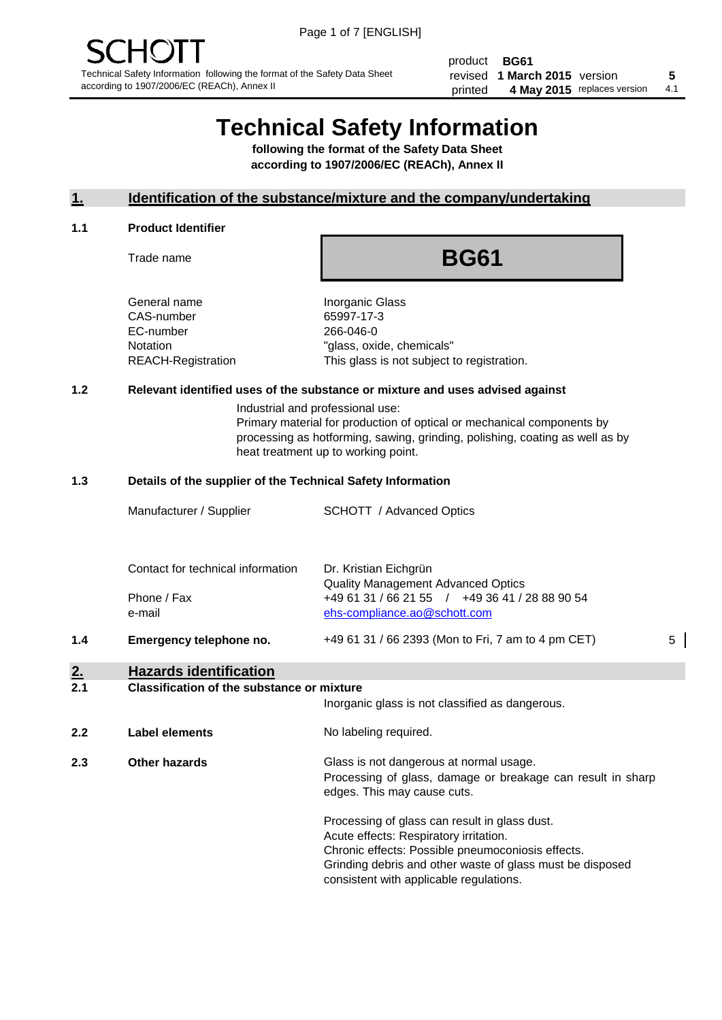product **BG61** revised **5 1 March 2015** version printed 4 May 2015 replaces version 4.1

# **Technical Safety Information**

**following the format of the Safety Data Sheet according to 1907/2006/EC (REACh), Annex II**

#### **1. Identification of the substance/mixture and the company/undertaking**

#### **1.1 Product Identifier**

Trade name

## **BG61**

General name **Inorganic Glass** CAS-number 65997-17-3 EC-number 266-046-0

Notation "glass, oxide, chemicals" REACH-Registration This glass is not subject to registration.

#### **1.2 Relevant identified uses of the substance or mixture and uses advised against**

Industrial and professional use: Primary material for production of optical or mechanical components by processing as hotforming, sawing, grinding, polishing, coating as well as by heat treatment up to working point.

#### **1.3 Details of the supplier of the Technical Safety Information**

|     | Manufacturer / Supplier                          | SCHOTT / Advanced Optics                                                                                             |   |
|-----|--------------------------------------------------|----------------------------------------------------------------------------------------------------------------------|---|
|     | Contact for technical information<br>Phone / Fax | Dr. Kristian Eichgrün<br><b>Quality Management Advanced Optics</b><br>+49 61 31 / 66 21 55 / +49 36 41 / 28 88 90 54 |   |
| 1.4 | e-mail<br>Emergency telephone no.                | ehs-compliance.ao@schott.com<br>+49 61 31 / 66 2393 (Mon to Fri, 7 am to 4 pm CET)                                   | 5 |
| 2.  | <b>Hazards identification</b>                    |                                                                                                                      |   |

#### **2.1 Classification of the substance or mixture**

| <u>.</u> | oldssingaugh of the substance of imature | Inorganic glass is not classified as dangerous.                                                                                                                                                                                                      |
|----------|------------------------------------------|------------------------------------------------------------------------------------------------------------------------------------------------------------------------------------------------------------------------------------------------------|
| 2.2      | Label elements                           | No labeling required.                                                                                                                                                                                                                                |
| 2.3      | Other hazards                            | Glass is not dangerous at normal usage.<br>Processing of glass, damage or breakage can result in sharp<br>edges. This may cause cuts.                                                                                                                |
|          |                                          | Processing of glass can result in glass dust.<br>Acute effects: Respiratory irritation.<br>Chronic effects: Possible pneumoconiosis effects.<br>Grinding debris and other waste of glass must be disposed<br>consistent with applicable regulations. |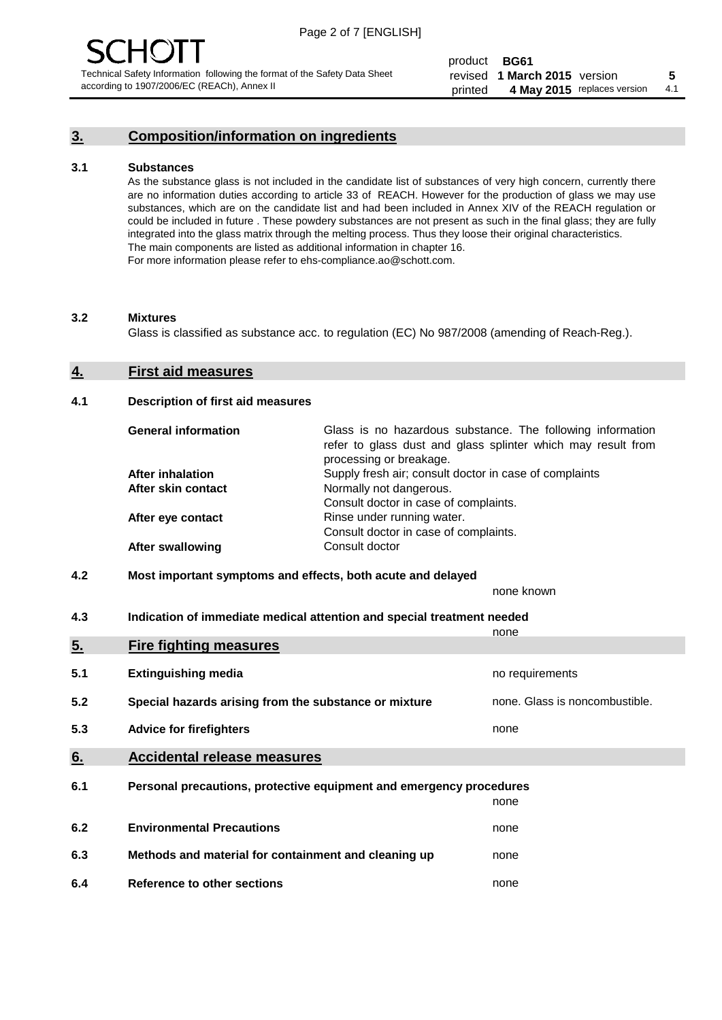#### **3. Composition/information on ingredients**

#### **3.1 Substances**

As the substance glass is not included in the candidate list of substances of very high concern, currently there are no information duties according to article 33 of REACH. However for the production of glass we may use substances, which are on the candidate list and had been included in Annex XIV of the REACH regulation or could be included in future . These powdery substances are not present as such in the final glass; they are fully integrated into the glass matrix through the melting process. Thus they loose their original characteristics. The main components are listed as additional information in chapter 16. For more information please refer to ehs-compliance.ao@schott.com.

#### **3.2 Mixtures**

Glass is classified as substance acc. to regulation (EC) No 987/2008 (amending of Reach-Reg.).

#### **4. First aid measures**

#### **4.1 Description of first aid measures**

| <b>General information</b> | Glass is no hazardous substance. The following information<br>refer to glass dust and glass splinter which may result from<br>processing or breakage. |
|----------------------------|-------------------------------------------------------------------------------------------------------------------------------------------------------|
| <b>After inhalation</b>    | Supply fresh air; consult doctor in case of complaints                                                                                                |
| After skin contact         | Normally not dangerous.                                                                                                                               |
|                            | Consult doctor in case of complaints.                                                                                                                 |
| After eye contact          | Rinse under running water.                                                                                                                            |
|                            | Consult doctor in case of complaints.                                                                                                                 |
| <b>After swallowing</b>    | Consult doctor                                                                                                                                        |

#### **4.2 Most important symptoms and effects, both acute and delayed**

none known

**4.3 Indication of immediate medical attention and special treatment needed** 

|     |                                                                     | none                           |
|-----|---------------------------------------------------------------------|--------------------------------|
| 5.  | <b>Fire fighting measures</b>                                       |                                |
| 5.1 | <b>Extinguishing media</b>                                          | no requirements                |
| 5.2 | Special hazards arising from the substance or mixture               | none. Glass is noncombustible. |
| 5.3 | <b>Advice for firefighters</b>                                      | none                           |
| 6.  | <b>Accidental release measures</b>                                  |                                |
| 6.1 | Personal precautions, protective equipment and emergency procedures |                                |
|     |                                                                     | none                           |
| 6.2 | <b>Environmental Precautions</b>                                    | none                           |
| 6.3 | Methods and material for containment and cleaning up                | none                           |
| 6.4 | Reference to other sections                                         | none                           |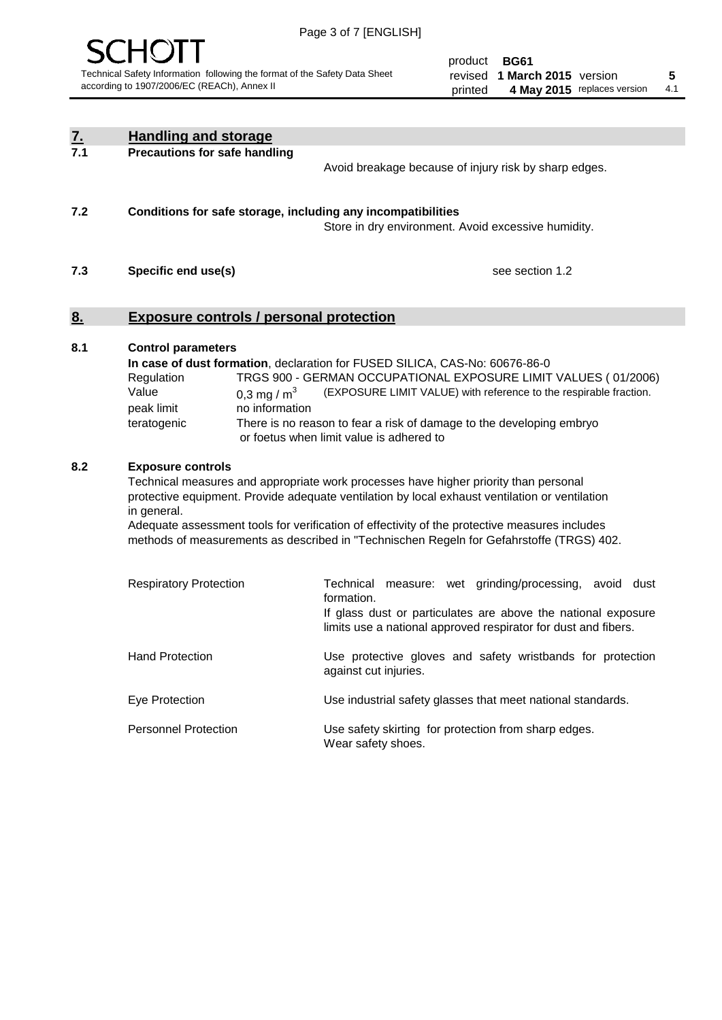

product **BG61** revised **5 1 March 2015** version printed 4 May 2015 replaces version 4.1

| <u>7.</u><br>7.1 | <b>Handling and storage</b>                                                                                                                                                                                                                                                                                                                                                                                                    |                                                                                                                                                                                                                                                                                                                                        |
|------------------|--------------------------------------------------------------------------------------------------------------------------------------------------------------------------------------------------------------------------------------------------------------------------------------------------------------------------------------------------------------------------------------------------------------------------------|----------------------------------------------------------------------------------------------------------------------------------------------------------------------------------------------------------------------------------------------------------------------------------------------------------------------------------------|
|                  | <b>Precautions for safe handling</b>                                                                                                                                                                                                                                                                                                                                                                                           | Avoid breakage because of injury risk by sharp edges.                                                                                                                                                                                                                                                                                  |
| 7.2              | Conditions for safe storage, including any incompatibilities                                                                                                                                                                                                                                                                                                                                                                   | Store in dry environment. Avoid excessive humidity.                                                                                                                                                                                                                                                                                    |
| 7.3              | Specific end use(s)                                                                                                                                                                                                                                                                                                                                                                                                            | see section 1.2                                                                                                                                                                                                                                                                                                                        |
| <u>8.</u>        | <b>Exposure controls / personal protection</b>                                                                                                                                                                                                                                                                                                                                                                                 |                                                                                                                                                                                                                                                                                                                                        |
| 8.1              | <b>Control parameters</b><br>Regulation<br>Value<br>0,3 mg / $m3$<br>peak limit<br>no information<br>teratogenic                                                                                                                                                                                                                                                                                                               | In case of dust formation, declaration for FUSED SILICA, CAS-No: 60676-86-0<br>TRGS 900 - GERMAN OCCUPATIONAL EXPOSURE LIMIT VALUES (01/2006)<br>(EXPOSURE LIMIT VALUE) with reference to the respirable fraction.<br>There is no reason to fear a risk of damage to the developing embryo<br>or foetus when limit value is adhered to |
| 8.2              | <b>Exposure controls</b><br>Technical measures and appropriate work processes have higher priority than personal<br>protective equipment. Provide adequate ventilation by local exhaust ventilation or ventilation<br>in general.<br>Adequate assessment tools for verification of effectivity of the protective measures includes<br>methods of measurements as described in "Technischen Regeln for Gefahrstoffe (TRGS) 402. |                                                                                                                                                                                                                                                                                                                                        |
|                  | <b>Respiratory Protection</b>                                                                                                                                                                                                                                                                                                                                                                                                  | Technical<br>measure: wet grinding/processing, avoid dust<br>formation.<br>If glass dust or particulates are above the national exposure<br>limits use a national approved respirator for dust and fibers.                                                                                                                             |
|                  | <b>Hand Protection</b>                                                                                                                                                                                                                                                                                                                                                                                                         | Use protective gloves and safety wristbands for protection<br>against cut injuries.                                                                                                                                                                                                                                                    |
|                  | Eye Protection                                                                                                                                                                                                                                                                                                                                                                                                                 | Use industrial safety glasses that meet national standards.                                                                                                                                                                                                                                                                            |
|                  | <b>Personnel Protection</b>                                                                                                                                                                                                                                                                                                                                                                                                    | Use safety skirting for protection from sharp edges.<br>Wear safety shoes.                                                                                                                                                                                                                                                             |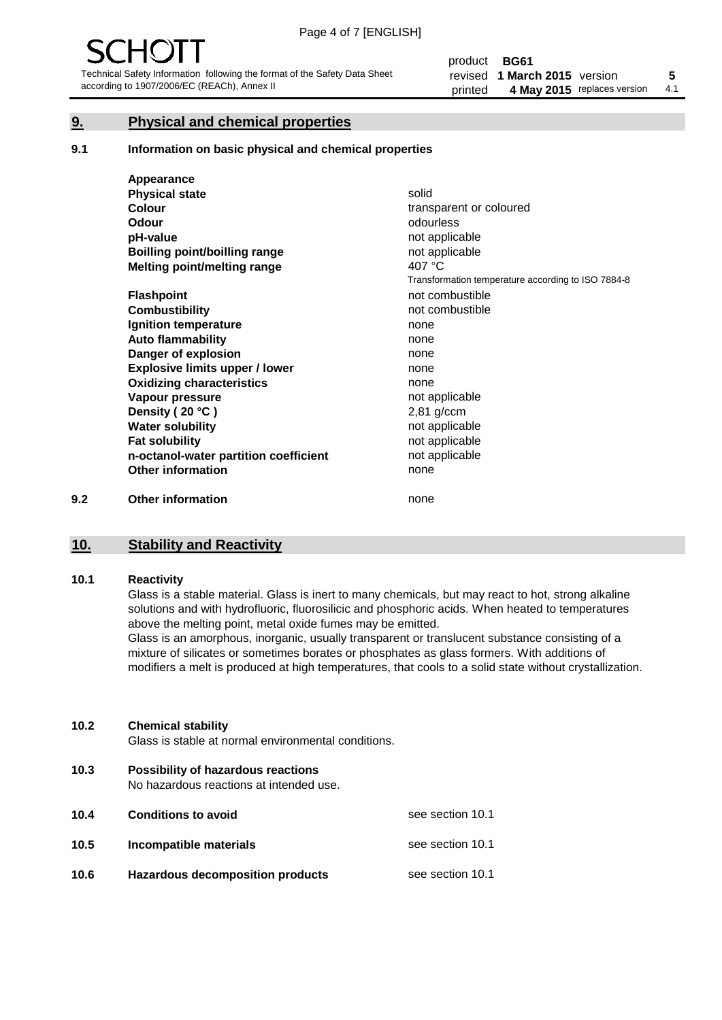#### **9. Physical and chemical properties**

#### **9.1 Information on basic physical and chemical properties**

|     | Appearance                            |                                                    |
|-----|---------------------------------------|----------------------------------------------------|
|     | <b>Physical state</b>                 | solid                                              |
|     | <b>Colour</b>                         | transparent or coloured                            |
|     | <b>Odour</b>                          | odourless                                          |
|     | pH-value                              | not applicable                                     |
|     | <b>Boilling point/boilling range</b>  | not applicable                                     |
|     | Melting point/melting range           | 407 °C                                             |
|     |                                       | Transformation temperature according to ISO 7884-8 |
|     | <b>Flashpoint</b>                     | not combustible                                    |
|     | <b>Combustibility</b>                 | not combustible                                    |
|     | Ignition temperature                  | none                                               |
|     | <b>Auto flammability</b>              | none                                               |
|     | Danger of explosion                   | none                                               |
|     | <b>Explosive limits upper / lower</b> | none                                               |
|     | <b>Oxidizing characteristics</b>      | none                                               |
|     | Vapour pressure                       | not applicable                                     |
|     | Density (20 °C)                       | $2,81$ g/ccm                                       |
|     | <b>Water solubility</b>               | not applicable                                     |
|     | <b>Fat solubility</b>                 | not applicable                                     |
|     | n-octanol-water partition coefficient | not applicable                                     |
|     | <b>Other information</b>              | none                                               |
| 9.2 | <b>Other information</b>              | none                                               |

#### **10. Stability and Reactivity**

#### **10.1 Reactivity**

Glass is a stable material. Glass is inert to many chemicals, but may react to hot, strong alkaline solutions and with hydrofluoric, fluorosilicic and phosphoric acids. When heated to temperatures above the melting point, metal oxide fumes may be emitted.

Glass is an amorphous, inorganic, usually transparent or translucent substance consisting of a mixture of silicates or sometimes borates or phosphates as glass formers. With additions of modifiers a melt is produced at high temperatures, that cools to a solid state without crystallization.

#### **10.2 Chemical stability**

Glass is stable at normal environmental conditions.

**10.3 Possibility of hazardous reactions** 

No hazardous reactions at intended use.

| 10.4 | <b>Conditions to avoid</b>              | see section 10.1 |
|------|-----------------------------------------|------------------|
| 10.5 | Incompatible materials                  | see section 10.1 |
| 10.6 | <b>Hazardous decomposition products</b> | see section 10.1 |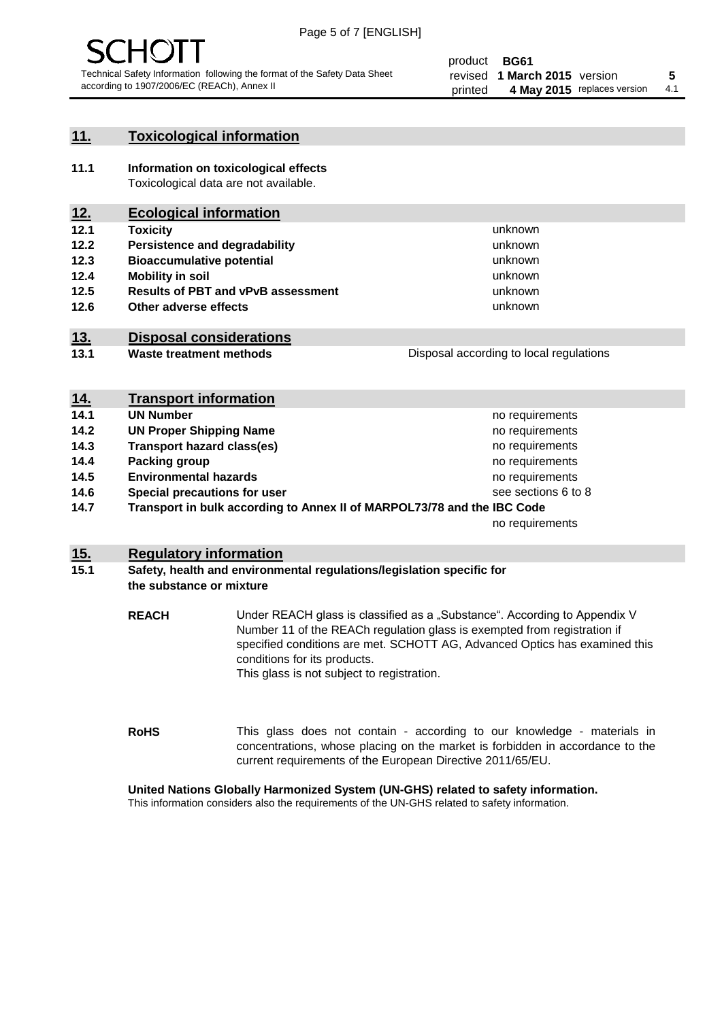

#### **11. Toxicological information**

**11.1 Information on toxicological effects** Toxicological data are not available.

### **12. Ecological information**

- **12.1 Toxicity**
- **12.2 Persistence and degradability**
- **12.3 Bioaccumulative potential**
- **12.4 Mobility in soil**
- **12.5 Results of PBT and vPvB assessment**
- **12.6 Other adverse effects**

#### **13. Disposal considerations**

**13.1 Waste treatment methods**

Disposal according to local regulations

unknown unknown unknown unknown

unknown unknown

| <u>14.</u> | <b>Transport information</b>                                            |                     |
|------------|-------------------------------------------------------------------------|---------------------|
| 14.1       | <b>UN Number</b>                                                        | no requirements     |
| 14.2       | <b>UN Proper Shipping Name</b>                                          | no requirements     |
| 14.3       | <b>Transport hazard class(es)</b>                                       | no requirements     |
| 14.4       | Packing group                                                           | no requirements     |
| 14.5       | <b>Environmental hazards</b>                                            | no requirements     |
| 14.6       | Special precautions for user                                            | see sections 6 to 8 |
| 14.7       | Transport in bulk according to Annex II of MARPOL73/78 and the IBC Code |                     |
|            |                                                                         | no requirements     |

#### **15. Regulatory information**

#### **15.1 Safety, health and environmental regulations/legislation specific for the substance or mixture**

**REACH** Under REACH glass is classified as a "Substance". According to Appendix V Number 11 of the REACh regulation glass is exempted from registration if specified conditions are met. SCHOTT AG, Advanced Optics has examined this conditions for its products. This glass is not subject to registration.

**RoHS** This glass does not contain - according to our knowledge - materials in concentrations, whose placing on the market is forbidden in accordance to the current requirements of the European Directive 2011/65/EU.

#### **United Nations Globally Harmonized System (UN-GHS) related to safety information.**

This information considers also the requirements of the UN-GHS related to safety information.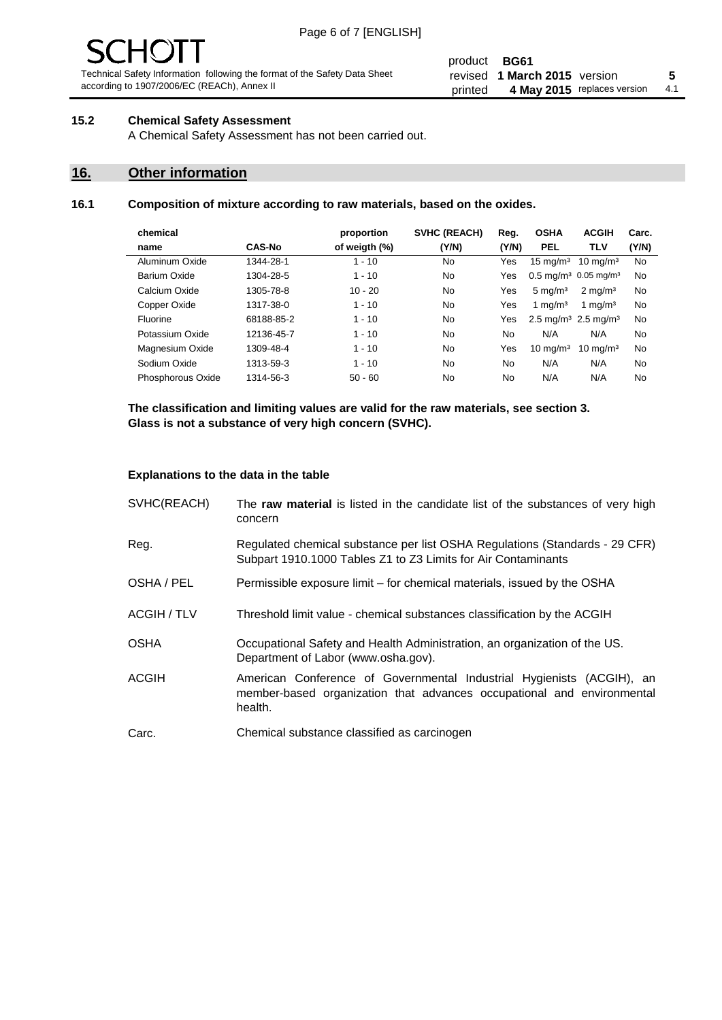# - JF

Technical Safety Information following the format of the Safety Data Sheet according to 1907/2006/EC (REACh), Annex II

#### product **BG61** revised **5 1 March 2015** version printed 4 May 2015 replaces version 4.1

#### **15.2 Chemical Safety Assessment**

A Chemical Safety Assessment has not been carried out.

#### **16. Other information**

#### **16.1 Composition of mixture according to raw materials, based on the oxides.**

| chemical          |               | proportion    | <b>SVHC (REACH)</b> | Reg.  | <b>OSHA</b>                                 | <b>ACGIH</b>                                | Carc. |
|-------------------|---------------|---------------|---------------------|-------|---------------------------------------------|---------------------------------------------|-------|
| name              | <b>CAS-No</b> | of weigth (%) | (Y/N)               | (Y/N) | <b>PEL</b>                                  | <b>TLV</b>                                  | (Y/N) |
| Aluminum Oxide    | 1344-28-1     | $1 - 10$      | No                  | Yes   | $15 \text{ mg/m}^3$                         | $10 \text{ ma/m}^3$                         | No    |
| Barium Oxide      | 1304-28-5     | $1 - 10$      | No                  | Yes   |                                             | $0.5 \text{ mg/m}^3$ 0.05 mg/m <sup>3</sup> | No    |
| Calcium Oxide     | 1305-78-8     | $10 - 20$     | No                  | Yes   | $5 \text{ mg/m}^3$                          | $2 \text{ ma/m}^3$                          | No    |
| Copper Oxide      | 1317-38-0     | $1 - 10$      | No                  | Yes   | 1 mg/m $3$                                  | 1 mg/m $3$                                  | No    |
| Fluorine          | 68188-85-2    | $1 - 10$      | No                  | Yes   | 2.5 mg/m <sup>3</sup> 2.5 mg/m <sup>3</sup> |                                             | No    |
| Potassium Oxide   | 12136-45-7    | $1 - 10$      | No                  | No    | N/A                                         | N/A                                         | No    |
| Magnesium Oxide   | 1309-48-4     | $1 - 10$      | No                  | Yes   | $10 \text{ mg/m}^3$                         | $10 \text{ mg/m}^3$                         | No    |
| Sodium Oxide      | 1313-59-3     | $1 - 10$      | No                  | No    | N/A                                         | N/A                                         | No    |
| Phosphorous Oxide | 1314-56-3     | $50 - 60$     | No                  | No    | N/A                                         | N/A                                         | No    |

**The classification and limiting values are valid for the raw materials, see section 3. Glass is not a substance of very high concern (SVHC).**

#### **Explanations to the data in the table**

| SVHC(REACH)        | The raw material is listed in the candidate list of the substances of very high<br>concern                                                                 |
|--------------------|------------------------------------------------------------------------------------------------------------------------------------------------------------|
| Reg.               | Regulated chemical substance per list OSHA Regulations (Standards - 29 CFR)<br>Subpart 1910.1000 Tables Z1 to Z3 Limits for Air Contaminants               |
| OSHA / PEL         | Permissible exposure limit – for chemical materials, issued by the OSHA                                                                                    |
| <b>ACGIH / TLV</b> | Threshold limit value - chemical substances classification by the ACGIH                                                                                    |
| <b>OSHA</b>        | Occupational Safety and Health Administration, an organization of the US.<br>Department of Labor (www.osha.gov).                                           |
| ACGIH              | American Conference of Governmental Industrial Hygienists (ACGIH), an<br>member-based organization that advances occupational and environmental<br>health. |
| Carc.              | Chemical substance classified as carcinogen                                                                                                                |